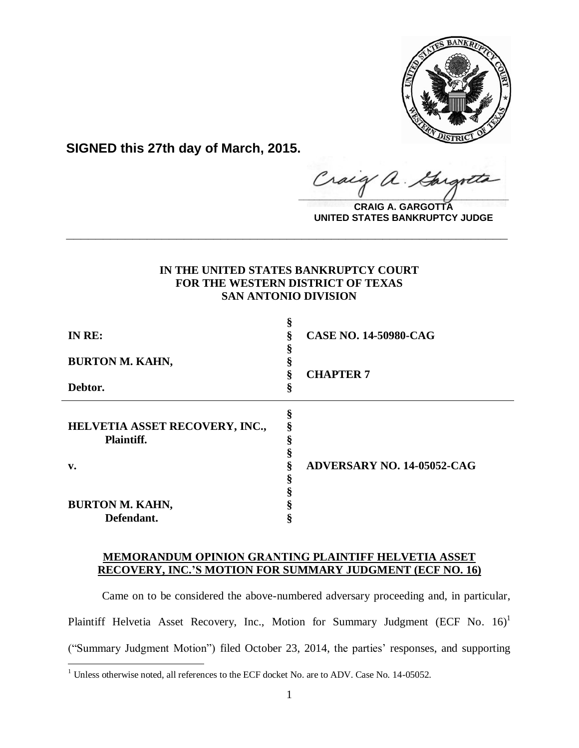

**SIGNED this 27th day of March, 2015.**

 $\hat{\mathcal{A}}$ . raig  $\frac{1}{2}$ 

**CRAIG A. GARGOTTA UNITED STATES BANKRUPTCY JUDGE**

# **IN THE UNITED STATES BANKRUPTCY COURT FOR THE WESTERN DISTRICT OF TEXAS SAN ANTONIO DIVISION**

**\_\_\_\_\_\_\_\_\_\_\_\_\_\_\_\_\_\_\_\_\_\_\_\_\_\_\_\_\_\_\_\_\_\_\_\_\_\_\_\_\_\_\_\_\_\_\_\_\_\_\_\_\_\_\_\_\_\_\_\_**

| IN RE:                                       | 8<br>ş | <b>CASE NO. 14-50980-CAG</b>      |
|----------------------------------------------|--------|-----------------------------------|
| <b>BURTON M. KAHN,</b>                       |        |                                   |
| Debtor.                                      | §      | <b>CHAPTER 7</b>                  |
| HELVETIA ASSET RECOVERY, INC.,<br>Plaintiff. | §      |                                   |
| v.                                           | 8      | <b>ADVERSARY NO. 14-05052-CAG</b> |
|                                              |        |                                   |
| <b>BURTON M. KAHN,</b>                       |        |                                   |
| Defendant.                                   |        |                                   |

## **MEMORANDUM OPINION GRANTING PLAINTIFF HELVETIA ASSET RECOVERY, INC.'S MOTION FOR SUMMARY JUDGMENT (ECF NO. 16)**

Came on to be considered the above-numbered adversary proceeding and, in particular, Plaintiff Helvetia Asset Recovery, Inc., Motion for Summary Judgment (ECF No. 16)<sup>1</sup> ("Summary Judgment Motion") filed October 23, 2014, the parties' responses, and supporting

<sup>&</sup>lt;sup>1</sup> Unless otherwise noted, all references to the ECF docket No. are to ADV. Case No. 14-05052.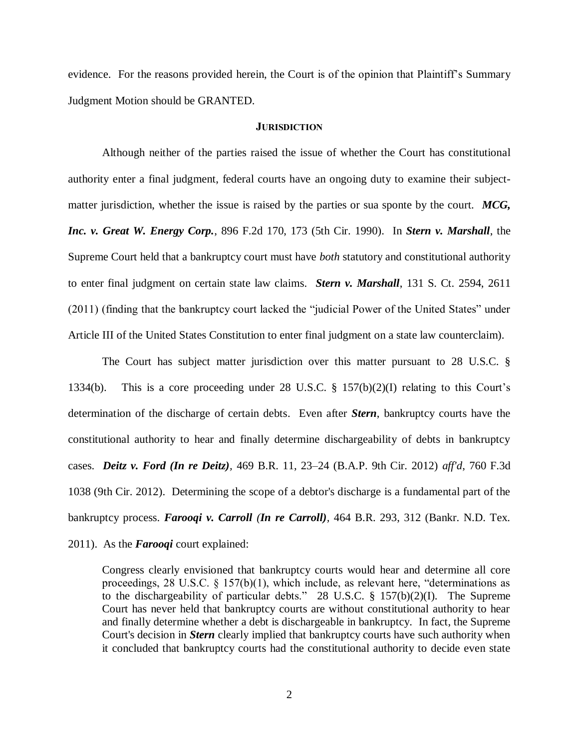evidence. For the reasons provided herein, the Court is of the opinion that Plaintiff's Summary Judgment Motion should be GRANTED.

#### **JURISDICTION**

Although neither of the parties raised the issue of whether the Court has constitutional authority enter a final judgment, federal courts have an ongoing duty to examine their subjectmatter jurisdiction, whether the issue is raised by the parties or sua sponte by the court. *MCG, Inc. v. Great W. Energy Corp.*, 896 F.2d 170, 173 (5th Cir. 1990). In *Stern v. Marshall*, the Supreme Court held that a bankruptcy court must have *both* statutory and constitutional authority to enter final judgment on certain state law claims. *Stern v. Marshall*, 131 S. Ct. 2594, 2611 (2011) (finding that the bankruptcy court lacked the "judicial Power of the United States" under Article III of the United States Constitution to enter final judgment on a state law counterclaim).

The Court has subject matter jurisdiction over this matter pursuant to 28 U.S.C. § 1334(b). This is a core proceeding under 28 U.S.C. § 157(b)(2)(I) relating to this Court's determination of the discharge of certain debts. Even after *Stern*, bankruptcy courts have the constitutional authority to hear and finally determine dischargeability of debts in bankruptcy cases. *Deitz v. Ford (In re Deitz),* 469 B.R. 11, 23–24 (B.A.P. 9th Cir. 2012) *aff'd*, 760 F.3d 1038 (9th Cir. 2012). Determining the scope of a debtor's discharge is a fundamental part of the bankruptcy process. *Farooqi v. Carroll (In re Carroll),* 464 B.R. 293, 312 (Bankr. N.D. Tex. 2011). As the *Farooqi* court explained:

Congress clearly envisioned that bankruptcy courts would hear and determine all core proceedings, 28 U.S.C. § 157(b)(1), which include, as relevant here, "determinations as to the dischargeability of particular debts." 28 U.S.C. § 157(b)(2)(I). The Supreme Court has never held that bankruptcy courts are without constitutional authority to hear and finally determine whether a debt is dischargeable in bankruptcy. In fact, the Supreme Court's decision in *Stern* clearly implied that bankruptcy courts have such authority when it concluded that bankruptcy courts had the constitutional authority to decide even state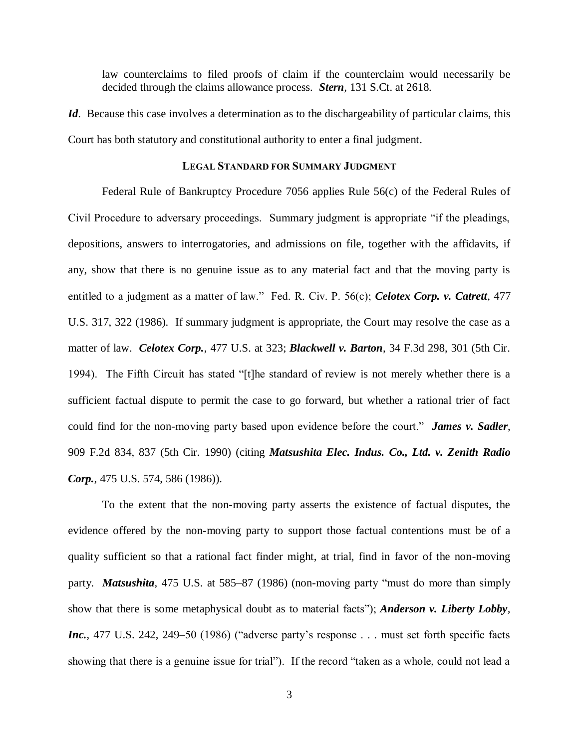law counterclaims to filed proofs of claim if the counterclaim would necessarily be decided through the claims allowance process. *Stern,* 131 S.Ct. at 2618.

*Id*. Because this case involves a determination as to the dischargeability of particular claims, this Court has both statutory and constitutional authority to enter a final judgment.

#### **LEGAL STANDARD FOR SUMMARY JUDGMENT**

Federal Rule of Bankruptcy Procedure 7056 applies Rule 56(c) of the Federal Rules of Civil Procedure to adversary proceedings. Summary judgment is appropriate "if the pleadings, depositions, answers to interrogatories, and admissions on file, together with the affidavits, if any, show that there is no genuine issue as to any material fact and that the moving party is entitled to a judgment as a matter of law." Fed. R. Civ. P. 56(c); *Celotex Corp. v. Catrett*, 477 U.S. 317, 322 (1986). If summary judgment is appropriate, the Court may resolve the case as a matter of law. *Celotex Corp.*, 477 U.S. at 323; *Blackwell v. Barton*, 34 F.3d 298, 301 (5th Cir. 1994). The Fifth Circuit has stated "[t]he standard of review is not merely whether there is a sufficient factual dispute to permit the case to go forward, but whether a rational trier of fact could find for the non-moving party based upon evidence before the court." *James v. Sadler*, 909 F.2d 834, 837 (5th Cir. 1990) (citing *Matsushita Elec. Indus. Co., Ltd. v. Zenith Radio Corp.*, 475 U.S. 574, 586 (1986)).

To the extent that the non-moving party asserts the existence of factual disputes, the evidence offered by the non-moving party to support those factual contentions must be of a quality sufficient so that a rational fact finder might, at trial, find in favor of the non-moving party. *Matsushita,* 475 U.S. at 585–87 (1986) (non-moving party "must do more than simply show that there is some metaphysical doubt as to material facts"); *Anderson v. Liberty Lobby, Inc.*, 477 U.S. 242, 249–50 (1986) ("adverse party's response . . . must set forth specific facts showing that there is a genuine issue for trial"). If the record "taken as a whole, could not lead a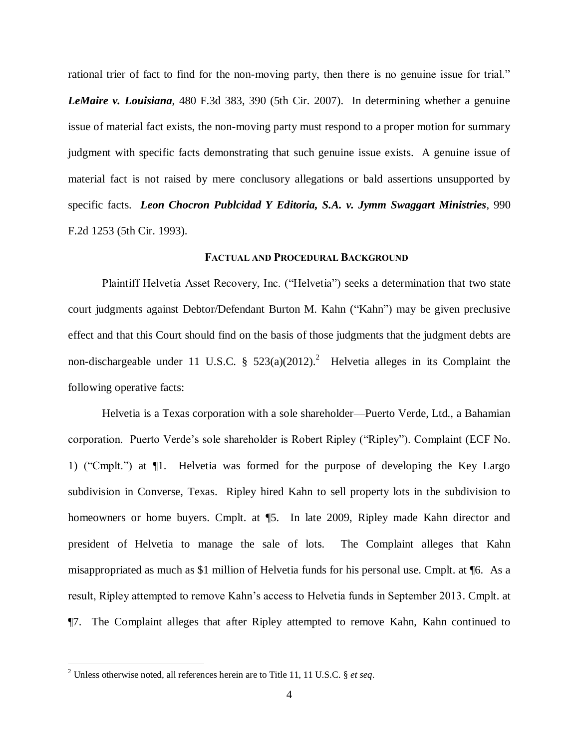rational trier of fact to find for the non-moving party, then there is no genuine issue for trial." *LeMaire v. Louisiana*, 480 F.3d 383, 390 (5th Cir. 2007). In determining whether a genuine issue of material fact exists, the non-moving party must respond to a proper motion for summary judgment with specific facts demonstrating that such genuine issue exists. A genuine issue of material fact is not raised by mere conclusory allegations or bald assertions unsupported by specific facts. *Leon Chocron Publcidad Y Editoria, S.A. v. Jymm Swaggart Ministries*, 990 F.2d 1253 (5th Cir. 1993).

### **FACTUAL AND PROCEDURAL BACKGROUND**

Plaintiff Helvetia Asset Recovery, Inc. ("Helvetia") seeks a determination that two state court judgments against Debtor/Defendant Burton M. Kahn ("Kahn") may be given preclusive effect and that this Court should find on the basis of those judgments that the judgment debts are non-dischargeable under 11 U.S.C. §  $523(a)(2012)$ .<sup>2</sup> Helvetia alleges in its Complaint the following operative facts:

Helvetia is a Texas corporation with a sole shareholder—Puerto Verde, Ltd., a Bahamian corporation. Puerto Verde's sole shareholder is Robert Ripley ("Ripley"). Complaint (ECF No. 1) ("Cmplt.") at ¶1. Helvetia was formed for the purpose of developing the Key Largo subdivision in Converse, Texas. Ripley hired Kahn to sell property lots in the subdivision to homeowners or home buyers. Cmplt. at  $\P$ 5. In late 2009, Ripley made Kahn director and president of Helvetia to manage the sale of lots. The Complaint alleges that Kahn misappropriated as much as \$1 million of Helvetia funds for his personal use. Cmplt. at ¶6. As a result, Ripley attempted to remove Kahn's access to Helvetia funds in September 2013. Cmplt. at ¶7. The Complaint alleges that after Ripley attempted to remove Kahn, Kahn continued to

<sup>2</sup> Unless otherwise noted, all references herein are to Title 11, 11 U.S.C. § *et seq*.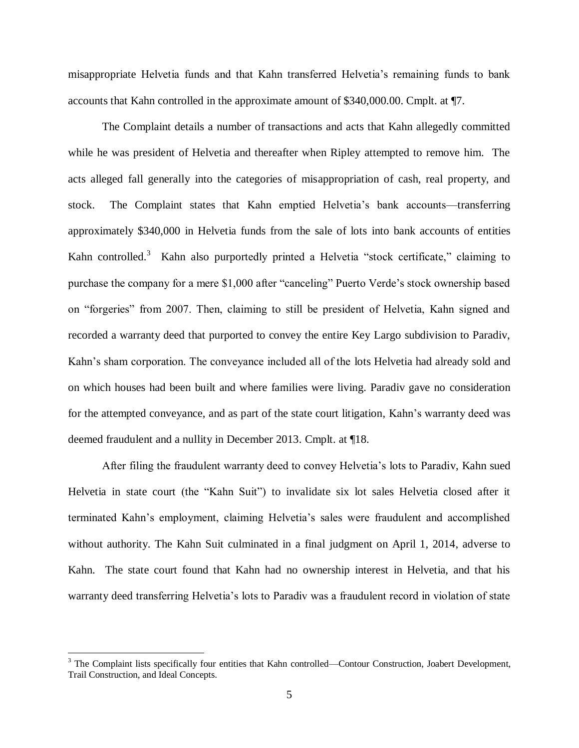misappropriate Helvetia funds and that Kahn transferred Helvetia's remaining funds to bank accounts that Kahn controlled in the approximate amount of \$340,000.00. Cmplt. at ¶7.

The Complaint details a number of transactions and acts that Kahn allegedly committed while he was president of Helvetia and thereafter when Ripley attempted to remove him. The acts alleged fall generally into the categories of misappropriation of cash, real property, and stock. The Complaint states that Kahn emptied Helvetia's bank accounts—transferring approximately \$340,000 in Helvetia funds from the sale of lots into bank accounts of entities Kahn controlled.<sup>3</sup> Kahn also purportedly printed a Helvetia "stock certificate," claiming to purchase the company for a mere \$1,000 after "canceling" Puerto Verde's stock ownership based on "forgeries" from 2007. Then, claiming to still be president of Helvetia, Kahn signed and recorded a warranty deed that purported to convey the entire Key Largo subdivision to Paradiv, Kahn's sham corporation. The conveyance included all of the lots Helvetia had already sold and on which houses had been built and where families were living. Paradiv gave no consideration for the attempted conveyance, and as part of the state court litigation, Kahn's warranty deed was deemed fraudulent and a nullity in December 2013. Cmplt. at ¶18.

After filing the fraudulent warranty deed to convey Helvetia's lots to Paradiv, Kahn sued Helvetia in state court (the "Kahn Suit") to invalidate six lot sales Helvetia closed after it terminated Kahn's employment, claiming Helvetia's sales were fraudulent and accomplished without authority. The Kahn Suit culminated in a final judgment on April 1, 2014, adverse to Kahn. The state court found that Kahn had no ownership interest in Helvetia, and that his warranty deed transferring Helvetia's lots to Paradiv was a fraudulent record in violation of state

 $3$  The Complaint lists specifically four entities that Kahn controlled—Contour Construction, Joabert Development, Trail Construction, and Ideal Concepts.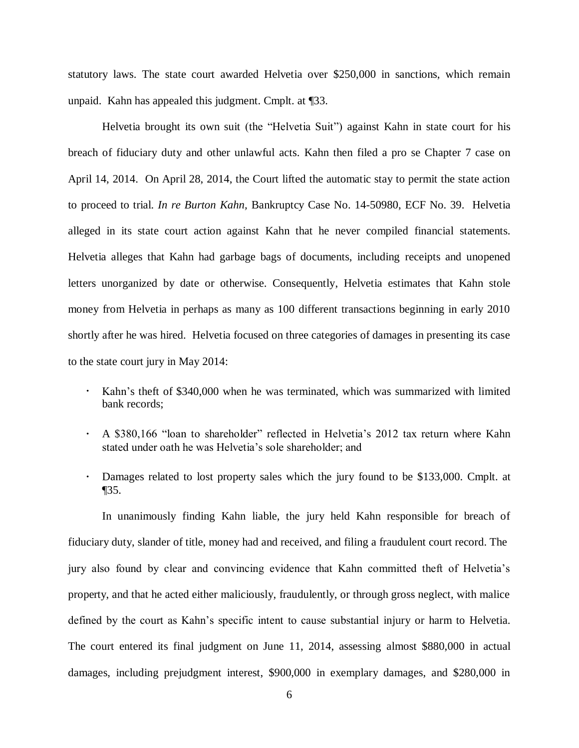statutory laws. The state court awarded Helvetia over \$250,000 in sanctions, which remain unpaid. Kahn has appealed this judgment. Cmplt. at ¶33.

Helvetia brought its own suit (the "Helvetia Suit") against Kahn in state court for his breach of fiduciary duty and other unlawful acts. Kahn then filed a pro se Chapter 7 case on April 14, 2014. On April 28, 2014, the Court lifted the automatic stay to permit the state action to proceed to trial. *In re Burton Kahn,* Bankruptcy Case No. 14-50980, ECF No. 39. Helvetia alleged in its state court action against Kahn that he never compiled financial statements. Helvetia alleges that Kahn had garbage bags of documents, including receipts and unopened letters unorganized by date or otherwise. Consequently, Helvetia estimates that Kahn stole money from Helvetia in perhaps as many as 100 different transactions beginning in early 2010 shortly after he was hired. Helvetia focused on three categories of damages in presenting its case to the state court jury in May 2014:

- $\ddot{\phantom{0}}$ Kahn's theft of \$340,000 when he was terminated, which was summarized with limited bank records;
- A \$380,166 "loan to shareholder" reflected in Helvetia's 2012 tax return where Kahn stated under oath he was Helvetia's sole shareholder; and
- Damages related to lost property sales which the jury found to be \$133,000. Cmplt. at ¶35.

In unanimously finding Kahn liable, the jury held Kahn responsible for breach of fiduciary duty, slander of title, money had and received, and filing a fraudulent court record. The jury also found by clear and convincing evidence that Kahn committed theft of Helvetia's property, and that he acted either maliciously, fraudulently, or through gross neglect, with malice defined by the court as Kahn's specific intent to cause substantial injury or harm to Helvetia. The court entered its final judgment on June 11, 2014, assessing almost \$880,000 in actual damages, including prejudgment interest, \$900,000 in exemplary damages, and \$280,000 in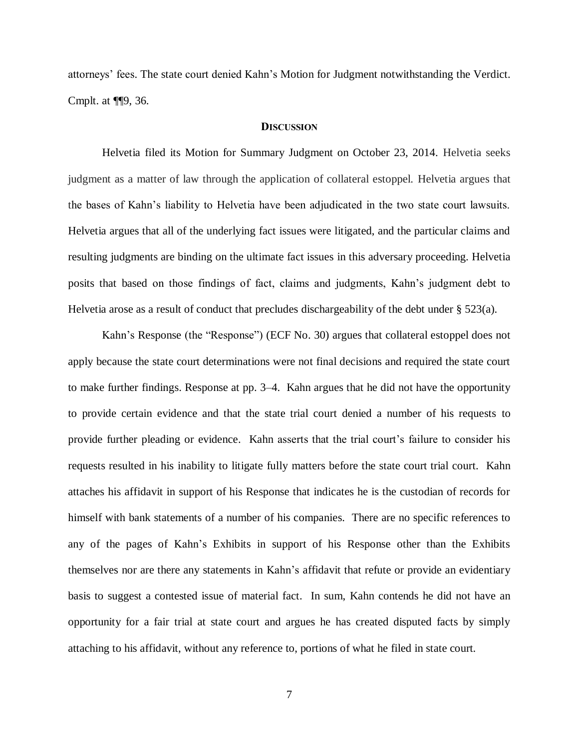attorneys' fees. The state court denied Kahn's Motion for Judgment notwithstanding the Verdict. Cmplt. at ¶¶9, 36.

### **DISCUSSION**

Helvetia filed its Motion for Summary Judgment on October 23, 2014. Helvetia seeks judgment as a matter of law through the application of collateral estoppel. Helvetia argues that the bases of Kahn's liability to Helvetia have been adjudicated in the two state court lawsuits. Helvetia argues that all of the underlying fact issues were litigated, and the particular claims and resulting judgments are binding on the ultimate fact issues in this adversary proceeding. Helvetia posits that based on those findings of fact, claims and judgments, Kahn's judgment debt to Helvetia arose as a result of conduct that precludes dischargeability of the debt under § 523(a).

Kahn's Response (the "Response") (ECF No. 30) argues that collateral estoppel does not apply because the state court determinations were not final decisions and required the state court to make further findings. Response at pp. 3–4. Kahn argues that he did not have the opportunity to provide certain evidence and that the state trial court denied a number of his requests to provide further pleading or evidence. Kahn asserts that the trial court's failure to consider his requests resulted in his inability to litigate fully matters before the state court trial court. Kahn attaches his affidavit in support of his Response that indicates he is the custodian of records for himself with bank statements of a number of his companies. There are no specific references to any of the pages of Kahn's Exhibits in support of his Response other than the Exhibits themselves nor are there any statements in Kahn's affidavit that refute or provide an evidentiary basis to suggest a contested issue of material fact. In sum, Kahn contends he did not have an opportunity for a fair trial at state court and argues he has created disputed facts by simply attaching to his affidavit, without any reference to, portions of what he filed in state court.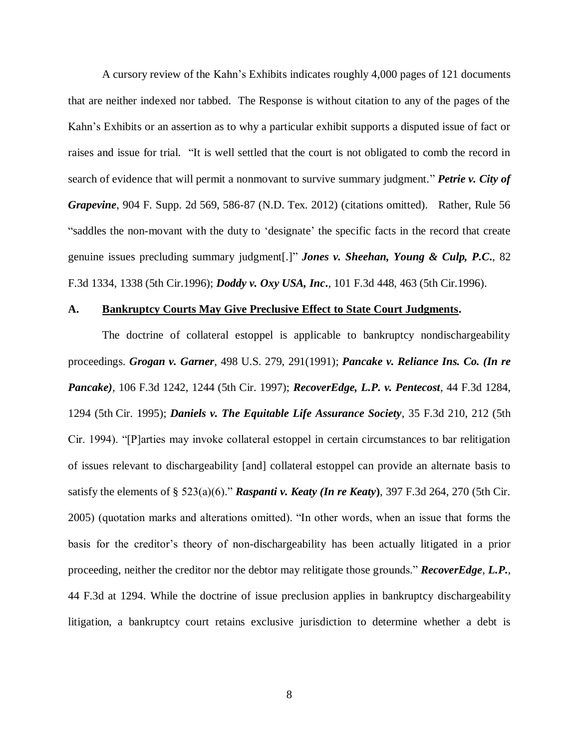A cursory review of the Kahn's Exhibits indicates roughly 4,000 pages of 121 documents that are neither indexed nor tabbed. The Response is without citation to any of the pages of the Kahn's Exhibits or an assertion as to why a particular exhibit supports a disputed issue of fact or raises and issue for trial. "It is well settled that the court is not obligated to comb the record in search of evidence that will permit a nonmovant to survive summary judgment." *Petrie v. City of Grapevine*, 904 F. Supp. 2d 569, 586-87 (N.D. Tex. 2012) (citations omitted). Rather, Rule 56 "saddles the non-movant with the duty to 'designate' the specific facts in the record that create genuine issues precluding summary judgment[.]" *Jones v. Sheehan, Young & Culp, P.C***.**, 82 F.3d 1334, 1338 (5th Cir.1996); *Doddy v. Oxy USA, Inc***.**, 101 F.3d 448, 463 (5th Cir.1996).

#### **A. Bankruptcy Courts May Give Preclusive Effect to State Court Judgments.**

The doctrine of collateral estoppel is applicable to bankruptcy nondischargeability proceedings. *Grogan v. Garner*, 498 U.S. 279, 291(1991); *Pancake v. Reliance Ins. Co. (In re Pancake),* 106 F.3d 1242, 1244 (5th Cir. 1997); *RecoverEdge, L.P. v. Pentecost*, 44 F.3d 1284, 1294 (5th Cir. 1995); *Daniels v. The Equitable Life Assurance Society*, 35 F.3d 210, 212 (5th Cir. 1994). "[P]arties may invoke collateral estoppel in certain circumstances to bar relitigation of issues relevant to dischargeability [and] collateral estoppel can provide an alternate basis to satisfy the elements of § 523(a)(6)." *Raspanti v. Keaty (In re Keaty***)**, 397 F.3d 264, 270 (5th Cir. 2005) (quotation marks and alterations omitted). "In other words, when an issue that forms the basis for the creditor's theory of non-dischargeability has been actually litigated in a prior proceeding, neither the creditor nor the debtor may relitigate those grounds." *RecoverEdge, L.P.,*  44 F.3d at 1294. While the doctrine of issue preclusion applies in bankruptcy dischargeability litigation, a bankruptcy court retains exclusive jurisdiction to determine whether a debt is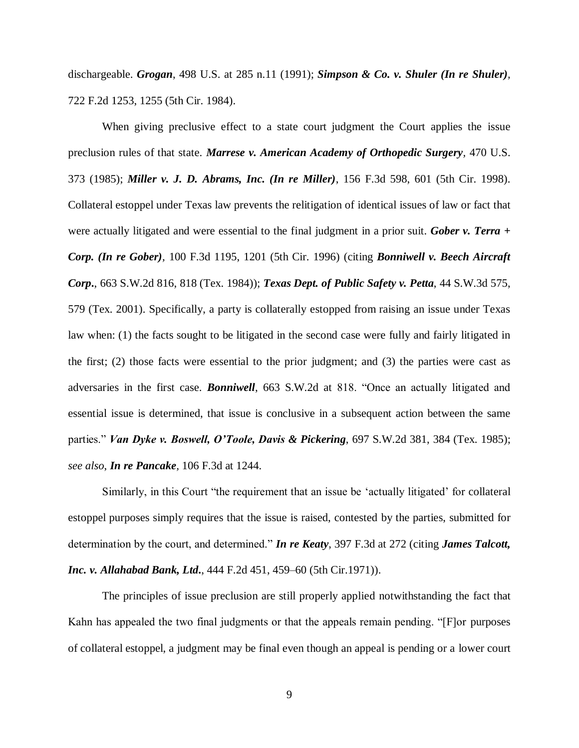dischargeable. *Grogan*, 498 U.S. at 285 n.11 (1991); *Simpson & Co. v. Shuler (In re Shuler),*  722 F.2d 1253, 1255 (5th Cir. 1984).

When giving preclusive effect to a state court judgment the Court applies the issue preclusion rules of that state. *Marrese v. American Academy of Orthopedic Surgery,* 470 U.S. 373 (1985); *Miller v. J. D. Abrams, Inc. (In re Miller)*, 156 F.3d 598, 601 (5th Cir. 1998). Collateral estoppel under Texas law prevents the relitigation of identical issues of law or fact that were actually litigated and were essential to the final judgment in a prior suit. *Gober v. Terra + Corp. (In re Gober),* 100 F.3d 1195, 1201 (5th Cir. 1996) (citing *Bonniwell v. Beech Aircraft Corp***.**, 663 S.W.2d 816, 818 (Tex. 1984)); *Texas Dept. of Public Safety v. Petta*, 44 S.W.3d 575, 579 (Tex. 2001). Specifically, a party is collaterally estopped from raising an issue under Texas law when: (1) the facts sought to be litigated in the second case were fully and fairly litigated in the first; (2) those facts were essential to the prior judgment; and (3) the parties were cast as adversaries in the first case. *Bonniwell*, 663 S.W.2d at 818. "Once an actually litigated and essential issue is determined, that issue is conclusive in a subsequent action between the same parties." *Van Dyke v. Boswell, O'Toole, Davis & Pickering*, 697 S.W.2d 381, 384 (Tex. 1985); *see also*, *In re Pancake,* 106 F.3d at 1244.

Similarly, in this Court "the requirement that an issue be 'actually litigated' for collateral estoppel purposes simply requires that the issue is raised, contested by the parties, submitted for determination by the court, and determined." *In re Keaty*, 397 F.3d at 272 (citing *James Talcott, Inc. v. Allahabad Bank, Ltd***.**, 444 F.2d 451, 459–60 (5th Cir.1971)).

The principles of issue preclusion are still properly applied notwithstanding the fact that Kahn has appealed the two final judgments or that the appeals remain pending. "[F]or purposes of collateral estoppel, a judgment may be final even though an appeal is pending or a lower court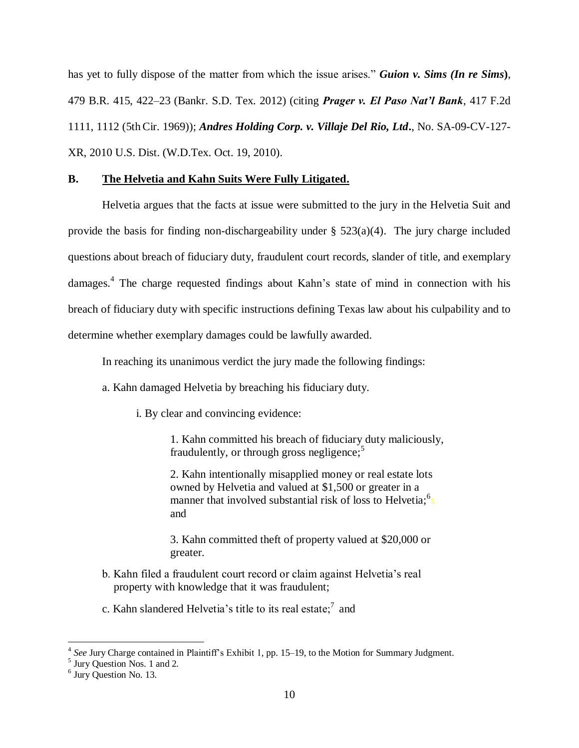has yet to fully dispose of the matter from which the issue arises." *Guion v. Sims (In re Sims***)**, 479 B.R. 415, 422–23 (Bankr. S.D. Tex. 2012) (citing *Prager v. El Paso Nat'l Bank*, 417 F.2d 1111, 1112 (5thCir. 1969)); *Andres Holding Corp. v. Villaje Del Rio, Ltd***.**, No. SA-09-CV-127- XR, 2010 U.S. Dist. (W.D.Tex. Oct. 19, 2010).

# **B. The Helvetia and Kahn Suits Were Fully Litigated.**

Helvetia argues that the facts at issue were submitted to the jury in the Helvetia Suit and provide the basis for finding non-dischargeability under  $\S$  523(a)(4). The jury charge included questions about breach of fiduciary duty, fraudulent court records, slander of title, and exemplary damages.<sup>4</sup> The charge requested findings about Kahn's state of mind in connection with his breach of fiduciary duty with specific instructions defining Texas law about his culpability and to determine whether exemplary damages could be lawfully awarded.

In reaching its unanimous verdict the jury made the following findings:

- a. Kahn damaged Helvetia by breaching his fiduciary duty.
	- i. By clear and convincing evidence:

1. Kahn committed his breach of fiduciary duty maliciously, fraudulently, or through gross negligence; $5$ 

2. Kahn intentionally misapplied money or real estate lots owned by Helvetia and valued at \$1,500 or greater in a manner that involved substantial risk of loss to Helvetia;  $\frac{6}{5}$ and

3. Kahn committed theft of property valued at \$20,000 or greater.

- b. Kahn filed a fraudulent court record or claim against Helvetia's real property with knowledge that it was fraudulent;
- c. Kahn slandered Helvetia's title to its real estate;<sup>7</sup> and

<sup>&</sup>lt;sup>4</sup> See Jury Charge contained in Plaintiff's Exhibit 1, pp. 15–19, to the Motion for Summary Judgment.<br><sup>5</sup> Jury Question Nos. 1 and 2.

<sup>&</sup>lt;sup>6</sup> Jury Question No. 13.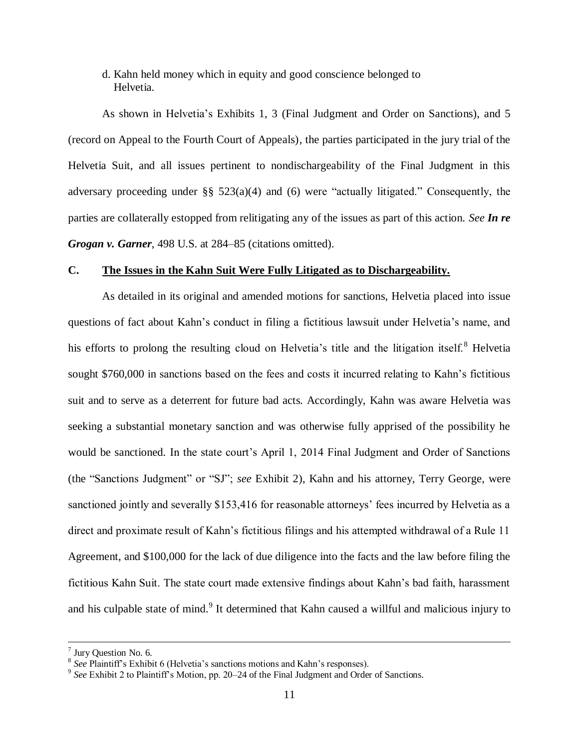# d. Kahn held money which in equity and good conscience belonged to Helvetia.

As shown in Helvetia's Exhibits 1, 3 (Final Judgment and Order on Sanctions), and 5 (record on Appeal to the Fourth Court of Appeals), the parties participated in the jury trial of the Helvetia Suit, and all issues pertinent to nondischargeability of the Final Judgment in this adversary proceeding under §§ 523(a)(4) and (6) were "actually litigated." Consequently, the parties are collaterally estopped from relitigating any of the issues as part of this action. *See In re Grogan v. Garner*, 498 U.S. at 284–85 (citations omitted).

### **C. The Issues in the Kahn Suit Were Fully Litigated as to Dischargeability.**

As detailed in its original and amended motions for sanctions, Helvetia placed into issue questions of fact about Kahn's conduct in filing a fictitious lawsuit under Helvetia's name, and his efforts to prolong the resulting cloud on Helvetia's title and the litigation itself.<sup>8</sup> Helvetia sought \$760,000 in sanctions based on the fees and costs it incurred relating to Kahn's fictitious suit and to serve as a deterrent for future bad acts. Accordingly, Kahn was aware Helvetia was seeking a substantial monetary sanction and was otherwise fully apprised of the possibility he would be sanctioned. In the state court's April 1, 2014 Final Judgment and Order of Sanctions (the "Sanctions Judgment" or "SJ"; *see* Exhibit 2), Kahn and his attorney, Terry George, were sanctioned jointly and severally \$153,416 for reasonable attorneys' fees incurred by Helvetia as a direct and proximate result of Kahn's fictitious filings and his attempted withdrawal of a Rule 11 Agreement, and \$100,000 for the lack of due diligence into the facts and the law before filing the fictitious Kahn Suit. The state court made extensive findings about Kahn's bad faith, harassment and his culpable state of mind.<sup>9</sup> It determined that Kahn caused a willful and malicious injury to

<sup>&</sup>lt;sup>7</sup> Jury Question No. 6.

<sup>8</sup> *See* Plaintiff's Exhibit 6 (Helvetia's sanctions motions and Kahn's responses).

<sup>&</sup>lt;sup>9</sup> See Exhibit 2 to Plaintiff's Motion, pp. 20–24 of the Final Judgment and Order of Sanctions.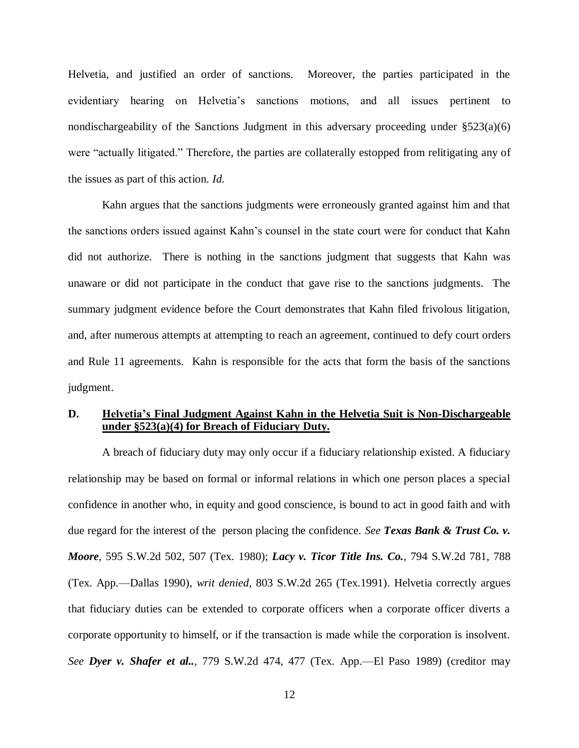Helvetia, and justified an order of sanctions. Moreover, the parties participated in the evidentiary hearing on Helvetia's sanctions motions, and all issues pertinent to nondischargeability of the Sanctions Judgment in this adversary proceeding under  $\S523(a)(6)$ were "actually litigated." Therefore, the parties are collaterally estopped from relitigating any of the issues as part of this action. *Id.*

Kahn argues that the sanctions judgments were erroneously granted against him and that the sanctions orders issued against Kahn's counsel in the state court were for conduct that Kahn did not authorize. There is nothing in the sanctions judgment that suggests that Kahn was unaware or did not participate in the conduct that gave rise to the sanctions judgments. The summary judgment evidence before the Court demonstrates that Kahn filed frivolous litigation, and, after numerous attempts at attempting to reach an agreement, continued to defy court orders and Rule 11 agreements. Kahn is responsible for the acts that form the basis of the sanctions judgment.

## **D. Helvetia's Final Judgment Against Kahn in the Helvetia Suit is Non-Dischargeable under §523(a)(4) for Breach of Fiduciary Duty.**

A breach of fiduciary duty may only occur if a fiduciary relationship existed. A fiduciary relationship may be based on formal or informal relations in which one person places a special confidence in another who, in equity and good conscience, is bound to act in good faith and with due regard for the interest of the person placing the confidence. *See [Texas Bank & Trust Co. v.](https://a.next.westlaw.com/Link/Document/FullText?findType=Y&serNum=1980110095&pubNum=713&originatingDoc=I1cbd87e62ee011e088699d6fd571daba&refType=RP&fi=co_pp_sp_713_507&originationContext=document&transitionType=DocumentItem&contextData=%28sc.UserEnteredCitation%29#co_pp_sp_713_507)  Moore,* [595 S.W.2d 502, 507 \(Tex.](https://a.next.westlaw.com/Link/Document/FullText?findType=Y&serNum=1980110095&pubNum=713&originatingDoc=I1cbd87e62ee011e088699d6fd571daba&refType=RP&fi=co_pp_sp_713_507&originationContext=document&transitionType=DocumentItem&contextData=%28sc.UserEnteredCitation%29#co_pp_sp_713_507) 1980); *[Lacy v. Ticor Title Ins. Co.](https://a.next.westlaw.com/Link/Document/FullText?findType=Y&serNum=1990136088&pubNum=713&originatingDoc=I1cbd87e62ee011e088699d6fd571daba&refType=RP&fi=co_pp_sp_713_788&originationContext=document&transitionType=DocumentItem&contextData=%28sc.UserEnteredCitation%29#co_pp_sp_713_788),* 794 S.W.2d 781, 788 (Tex. [App.—Dallas 1990\),](https://a.next.westlaw.com/Link/Document/FullText?findType=Y&serNum=1990136088&pubNum=713&originatingDoc=I1cbd87e62ee011e088699d6fd571daba&refType=RP&fi=co_pp_sp_713_788&originationContext=document&transitionType=DocumentItem&contextData=%28sc.UserEnteredCitation%29#co_pp_sp_713_788) *writ denied*, [803 S.W.2d 265 \(Tex.1991\).](https://a.next.westlaw.com/Link/Document/FullText?findType=Y&serNum=1991031451&pubNum=713&originatingDoc=I1cbd87e62ee011e088699d6fd571daba&refType=RP&originationContext=document&transitionType=DocumentItem&contextData=%28sc.UserEnteredCitation%29) Helvetia correctly argues that fiduciary duties can be extended to corporate officers when a corporate officer diverts a corporate opportunity to himself, or if the transaction is made while the corporation is insolvent. *See Dyer v. Shafer et al..,* [779 S.W.2d 474, 477 \(Tex.](https://a.next.westlaw.com/Link/Document/FullText?findType=Y&serNum=1989140553&pubNum=713&originatingDoc=I1cbd87e62ee011e088699d6fd571daba&refType=RP&fi=co_pp_sp_713_477&originationContext=document&transitionType=DocumentItem&contextData=%28sc.UserEnteredCitation%29#co_pp_sp_713_477) App.—El Paso 1989) (creditor may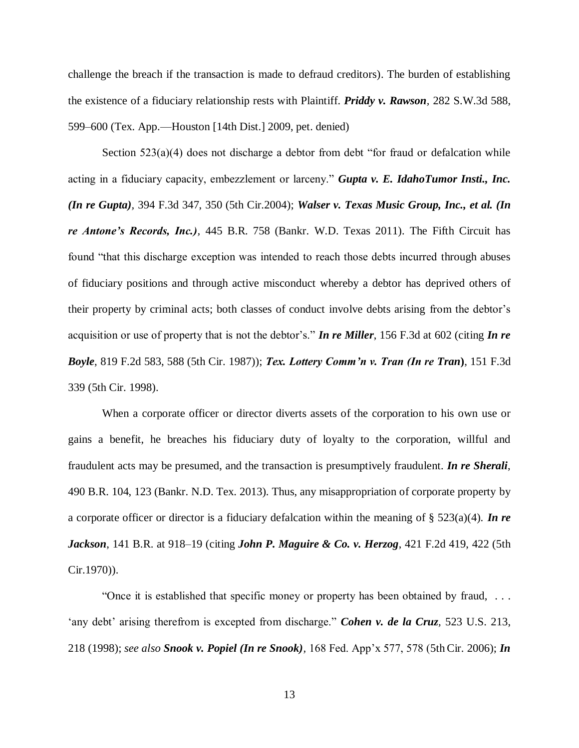challenge the breach if the transaction is made to defraud creditors). The burden of establishing the existence of a fiduciary relationship rests with Plaintiff. *[Priddy v. Rawson](https://a.next.westlaw.com/Link/Document/FullText?findType=Y&serNum=2017991349&pubNum=4644&originatingDoc=I1cbd87e62ee011e088699d6fd571daba&refType=RP&fi=co_pp_sp_4644_599&originationContext=document&transitionType=DocumentItem&contextData=%28sc.UserEnteredCitation%29#co_pp_sp_4644_599),* 282 S.W.3d 588, 599–600 (Tex. [App.—Houston \[14th Dist.\] 2009, pet. denied\)](https://a.next.westlaw.com/Link/Document/FullText?findType=Y&serNum=2017991349&pubNum=4644&originatingDoc=I1cbd87e62ee011e088699d6fd571daba&refType=RP&fi=co_pp_sp_4644_599&originationContext=document&transitionType=DocumentItem&contextData=%28sc.UserEnteredCitation%29#co_pp_sp_4644_599)

Section  $523(a)(4)$  does not discharge a debtor from debt "for fraud or defalcation while acting in a fiduciary capacity, embezzlement or larceny." *Gupta v. E. IdahoTumor Insti., Inc. (In re Gupta),* 394 F.3d 347, 350 (5th Cir.2004); *Walser v. Texas Music Group, Inc., et al. (In re Antone's Records, Inc.),* 445 B.R. 758 (Bankr. W.D. Texas 2011). The Fifth Circuit has found "that this discharge exception was intended to reach those debts incurred through abuses of fiduciary positions and through active misconduct whereby a debtor has deprived others of their property by criminal acts; both classes of conduct involve debts arising from the debtor's acquisition or use of property that is not the debtor's." *In re Miller*, 156 F.3d at 602 (citing *In re Boyle*, 819 F.2d 583, 588 (5th Cir. 1987)); *Tex. Lottery Comm'n v. Tran (In re Tran***)**, 151 F.3d 339 (5th Cir. 1998).

When a corporate officer or director diverts assets of the corporation to his own use or gains a benefit, he breaches his fiduciary duty of loyalty to the corporation, willful and fraudulent acts may be presumed, and the transaction is presumptively fraudulent. *In re Sherali*, 490 B.R. 104, 123 (Bankr. N.D. Tex. 2013). Thus, any misappropriation of corporate property by a corporate officer or director is a fiduciary defalcation within the meaning of § 523(a)(4). *In re Jackson*, 141 B.R. at 918–19 (citing *John P. Maguire & Co. v. Herzog*, 421 F.2d 419, 422 (5th Cir.1970)).

"Once it is established that specific money or property has been obtained by fraud, . . . 'any debt' arising therefrom is excepted from discharge." *Cohen v. de la Cruz,* 523 U.S. 213, 218 (1998); *see also Snook v. Popiel (In re Snook),* 168 Fed. App'x 577, 578 (5thCir. 2006); *In*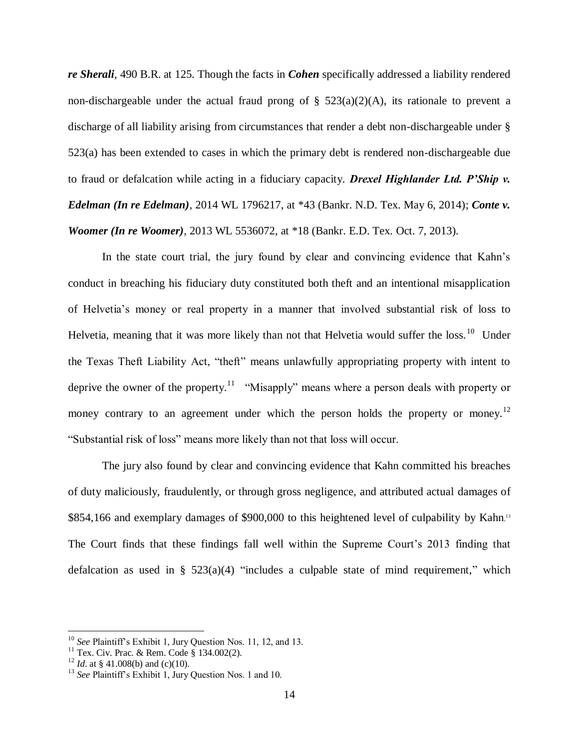*re Sherali*, 490 B.R. at 125. Though the facts in *Cohen* specifically addressed a liability rendered non-dischargeable under the actual fraud prong of  $\S$  523(a)(2)(A), its rationale to prevent a discharge of all liability arising from circumstances that render a debt non-dischargeable under § 523(a) has been extended to cases in which the primary debt is rendered non-dischargeable due to fraud or defalcation while acting in a fiduciary capacity. *Drexel Highlander Ltd. P'Ship v. Edelman (In re Edelman),* 2014 WL 1796217, at \*43 (Bankr. N.D. Tex. May 6, 2014); *Conte v. Woomer (In re Woomer),* 2013 WL 5536072, at \*18 (Bankr. E.D. Tex. Oct. 7, 2013).

In the state court trial, the jury found by clear and convincing evidence that Kahn's conduct in breaching his fiduciary duty constituted both theft and an intentional misapplication of Helvetia's money or real property in a manner that involved substantial risk of loss to Helvetia, meaning that it was more likely than not that Helvetia would suffer the loss.<sup>10</sup> Under the Texas Theft Liability Act, "theft" means unlawfully appropriating property with intent to deprive the owner of the property.<sup>11</sup> "Misapply" means where a person deals with property or money contrary to an agreement under which the person holds the property or money.<sup>12</sup> "Substantial risk of loss" means more likely than not that loss will occur.

The jury also found by clear and convincing evidence that Kahn committed his breaches of duty maliciously, fraudulently, or through gross negligence, and attributed actual damages of \$854,166 and exemplary damages of \$900,000 to this heightened level of culpability by Kahn.<sup>13</sup> The Court finds that these findings fall well within the Supreme Court's 2013 finding that defalcation as used in §  $523(a)(4)$  "includes a culpable state of mind requirement," which

<sup>10</sup> *See* Plaintiff's Exhibit 1, Jury Question Nos. 11, 12, and 13.

<sup>&</sup>lt;sup>11</sup> Tex. Civ. Prac. & Rem. Code § 134.002(2).

<sup>&</sup>lt;sup>12</sup> *Id.* at § 41.008(b) and (c)(10).

<sup>13</sup> *See* Plaintiff's Exhibit 1, Jury Question Nos. 1 and 10.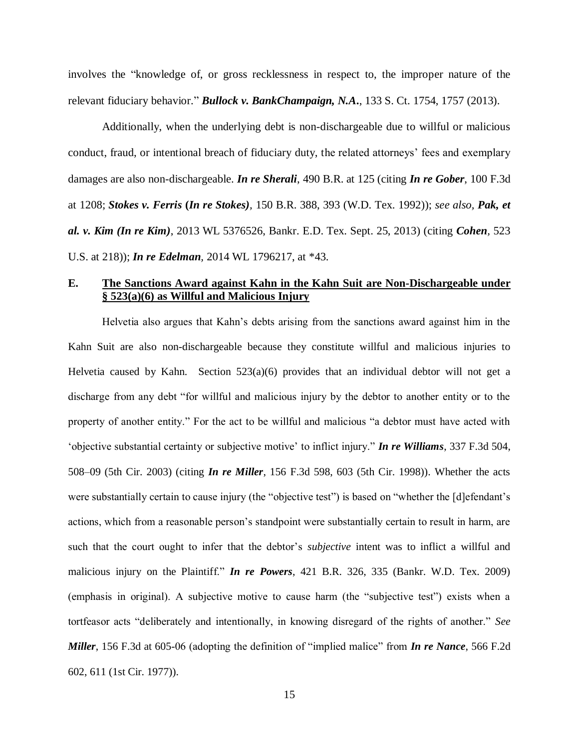involves the "knowledge of, or gross recklessness in respect to, the improper nature of the relevant fiduciary behavior." *Bullock v. BankChampaign, N.A***.**, 133 S. Ct. 1754, 1757 (2013).

Additionally, when the underlying debt is non-dischargeable due to willful or malicious conduct, fraud, or intentional breach of fiduciary duty, the related attorneys' fees and exemplary damages are also non-dischargeable. *In re Sherali*, 490 B.R. at 125 (citing *In re Gober*, 100 F.3d at 1208; *Stokes v. Ferris* **(***In re Stokes),* 150 B.R. 388, 393 (W.D. Tex. 1992)); *see also, Pak, et al. v. Kim (In re Kim)*, 2013 WL 5376526, Bankr. E.D. Tex. Sept. 25, 2013) (citing *Cohen,* 523 U.S. at 218)); *In re Edelman,* 2014 WL 1796217, at \*43.

## **E. The Sanctions Award against Kahn in the Kahn Suit are Non-Dischargeable under § 523(a)(6) as Willful and Malicious Injury**

Helvetia also argues that Kahn's debts arising from the sanctions award against him in the Kahn Suit are also non-dischargeable because they constitute willful and malicious injuries to Helvetia caused by Kahn. Section  $523(a)(6)$  provides that an individual debtor will not get a discharge from any debt "for willful and malicious injury by the debtor to another entity or to the property of another entity." For the act to be willful and malicious "a debtor must have acted with 'objective substantial certainty or subjective motive' to inflict injury." *In re Williams*, 337 F.3d 504, 508–09 (5th Cir. 2003) (citing *In re Miller*, 156 F.3d 598, 603 (5th Cir. 1998)). Whether the acts were substantially certain to cause injury (the "objective test") is based on "whether the [d]efendant's actions, which from a reasonable person's standpoint were substantially certain to result in harm, are such that the court ought to infer that the debtor's *subjective* intent was to inflict a willful and malicious injury on the Plaintiff." *In re Powers*, 421 B.R. 326, 335 (Bankr. W.D. Tex. 2009) (emphasis in original). A subjective motive to cause harm (the "subjective test") exists when a tortfeasor acts "deliberately and intentionally, in knowing disregard of the rights of another." *See Miller*, 156 F.3d at 605-06 (adopting the definition of "implied malice" from *In re Nance*, 566 F.2d 602, 611 (1st Cir. 1977)).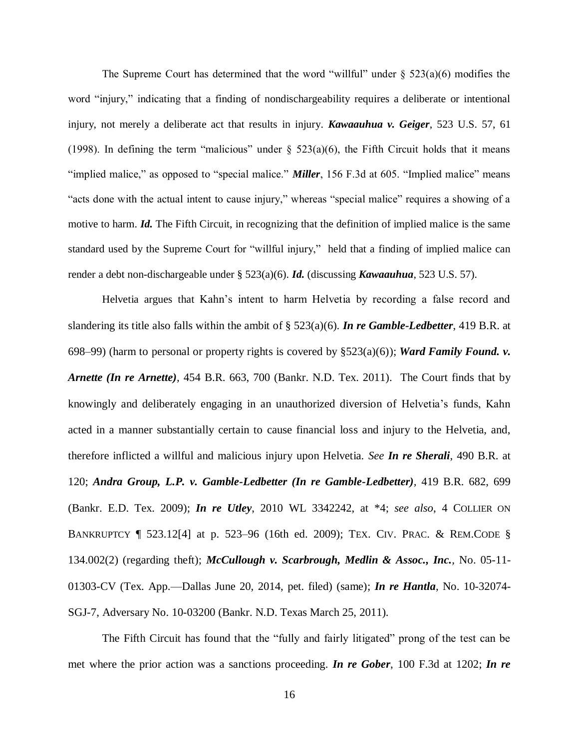The Supreme Court has determined that the word "willful" under  $\S$  523(a)(6) modifies the word "injury," indicating that a finding of nondischargeability requires a deliberate or intentional injury, not merely a deliberate act that results in injury. *Kawaauhua v. Geiger*, 523 U.S. 57, 61 (1998). In defining the term "malicious" under  $\S$  523(a)(6), the Fifth Circuit holds that it means "implied malice," as opposed to "special malice." *Miller*, 156 F.3d at 605. "Implied malice" means "acts done with the actual intent to cause injury," whereas "special malice" requires a showing of a motive to harm. *Id.* The Fifth Circuit, in recognizing that the definition of implied malice is the same standard used by the Supreme Court for "willful injury," held that a finding of implied malice can render a debt non-dischargeable under § 523(a)(6). *Id.* (discussing *Kawaauhua*, 523 U.S. 57).

Helvetia argues that Kahn's intent to harm Helvetia by recording a false record and slandering its title also falls within the ambit of § 523(a)(6). *In re Gamble-Ledbetter*, 419 B.R. at 698–99) (harm to personal or property rights is covered by  $\S523(a)(6)$ ); *Ward Family Found. v. Arnette (In re Arnette),* 454 B.R. 663, 700 (Bankr. N.D. Tex. 2011). The Court finds that by knowingly and deliberately engaging in an unauthorized diversion of Helvetia's funds, Kahn acted in a manner substantially certain to cause financial loss and injury to the Helvetia, and, therefore inflicted a willful and malicious injury upon Helvetia. *See In re Sherali*, 490 B.R. at 120; *Andra Group, L.P. v. Gamble-Ledbetter (In re Gamble-Ledbetter),* 419 B.R. 682, 699 (Bankr. E.D. Tex. 2009); *In re Utley*, 2010 WL 3342242, at \*4; *see also*, 4 COLLIER ON BANKRUPTCY ¶ 523.12[4] at p. 523–96 (16th ed. 2009); TEX. CIV. PRAC. & REM.CODE § 134.002(2) (regarding theft); *McCullough v. Scarbrough, Medlin & Assoc., Inc.,* No. 05-11- 01303-CV (Tex. App.—Dallas June 20, 2014, pet. filed) (same); *In re Hantla*, No. 10-32074- SGJ-7, Adversary No. 10-03200 (Bankr. N.D. Texas March 25, 2011).

The Fifth Circuit has found that the "fully and fairly litigated" prong of the test can be met where the prior action was a sanctions proceeding. *In re Gober*, 100 F.3d at 1202; *In re*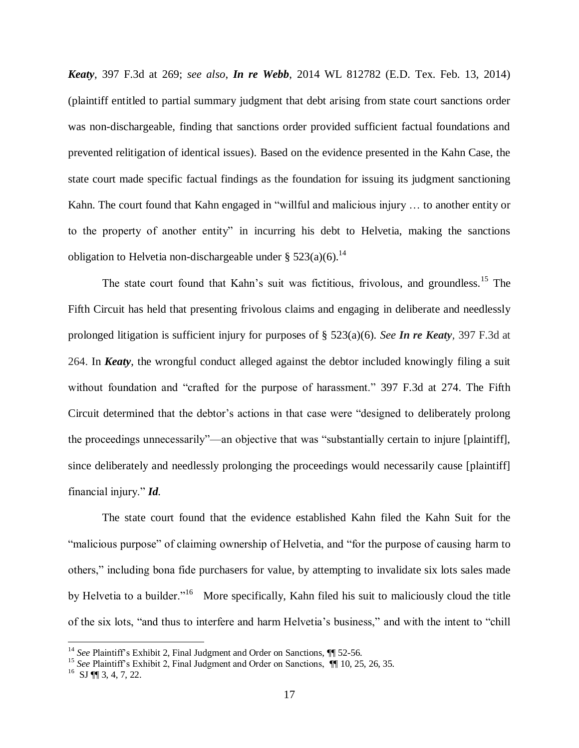*Keaty*, 397 F.3d at 269; *see also*, *In re Webb*, 2014 WL 812782 (E.D. Tex. Feb. 13, 2014) (plaintiff entitled to partial summary judgment that debt arising from state court sanctions order was non-dischargeable, finding that sanctions order provided sufficient factual foundations and prevented relitigation of identical issues). Based on the evidence presented in the Kahn Case, the state court made specific factual findings as the foundation for issuing its judgment sanctioning Kahn. The court found that Kahn engaged in "willful and malicious injury … to another entity or to the property of another entity" in incurring his debt to Helvetia, making the sanctions obligation to Helvetia non-dischargeable under §  $523(a)(6)$ .<sup>14</sup>

The state court found that Kahn's suit was fictitious, frivolous, and groundless.<sup>15</sup> The Fifth Circuit has held that presenting frivolous claims and engaging in deliberate and needlessly prolonged litigation is sufficient injury for purposes of § 523(a)(6). *See In re Keaty,* 397 F.3d at 264. In *Keaty*, the wrongful conduct alleged against the debtor included knowingly filing a suit without foundation and "crafted for the purpose of harassment." 397 F.3d at 274. The Fifth Circuit determined that the debtor's actions in that case were "designed to deliberately prolong the proceedings unnecessarily"—an objective that was "substantially certain to injure [plaintiff], since deliberately and needlessly prolonging the proceedings would necessarily cause [plaintiff] financial injury." *Id.*

The state court found that the evidence established Kahn filed the Kahn Suit for the "malicious purpose" of claiming ownership of Helvetia, and "for the purpose of causing harm to others," including bona fide purchasers for value, by attempting to invalidate six lots sales made by Helvetia to a builder."<sup>16</sup> More specifically, Kahn filed his suit to maliciously cloud the title of the six lots, "and thus to interfere and harm Helvetia's business," and with the intent to "chill

<sup>&</sup>lt;sup>14</sup> See Plaintiff's Exhibit 2, Final Judgment and Order on Sanctions,  $\P$  52-56.

<sup>&</sup>lt;sup>15</sup> See Plaintiff's Exhibit 2, Final Judgment and Order on Sanctions,  $\P$  10, 25, 26, 35.

 $^{16}$  SJ  $\P$  3, 4, 7, 22.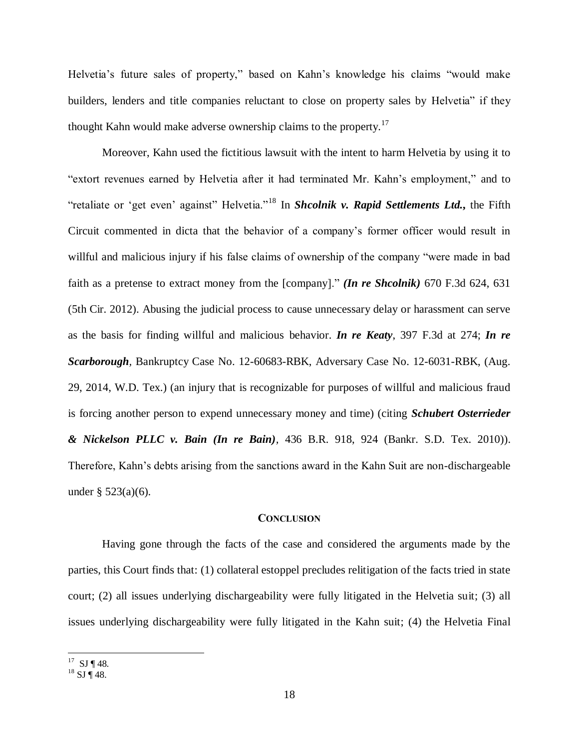Helvetia's future sales of property," based on Kahn's knowledge his claims "would make builders, lenders and title companies reluctant to close on property sales by Helvetia" if they thought Kahn would make adverse ownership claims to the property.<sup>17</sup>

Moreover, Kahn used the fictitious lawsuit with the intent to harm Helvetia by using it to "extort revenues earned by Helvetia after it had terminated Mr. Kahn's employment," and to "retaliate or 'get even' against" Helvetia."<sup>18</sup> In *Shcolnik v. Rapid Settlements Ltd.***,** the Fifth Circuit commented in dicta that the behavior of a company's former officer would result in willful and malicious injury if his false claims of ownership of the company "were made in bad faith as a pretense to extract money from the [company]." *(In re Shcolnik)* 670 F.3d 624, 631 (5th Cir. 2012). Abusing the judicial process to cause unnecessary delay or harassment can serve as the basis for finding willful and malicious behavior. *In re Keaty*, 397 F.3d at 274; *In re Scarborough,* Bankruptcy Case No. 12-60683-RBK, Adversary Case No. 12-6031-RBK, (Aug. 29, 2014, W.D. Tex.) (an injury that is recognizable for purposes of willful and malicious fraud is forcing another person to expend unnecessary money and time) (citing *Schubert Osterrieder & Nickelson PLLC v. Bain (In re Bain),* 436 B.R. 918, 924 (Bankr. S.D. Tex. 2010)). Therefore, Kahn's debts arising from the sanctions award in the Kahn Suit are non-dischargeable under  $\S 523(a)(6)$ .

#### **CONCLUSION**

Having gone through the facts of the case and considered the arguments made by the parties, this Court finds that: (1) collateral estoppel precludes relitigation of the facts tried in state court; (2) all issues underlying dischargeability were fully litigated in the Helvetia suit; (3) all issues underlying dischargeability were fully litigated in the Kahn suit; (4) the Helvetia Final

 $\overline{a}$  $17$  SJ ¶ 48.

 $^{18}$  SJ ¶ 48.